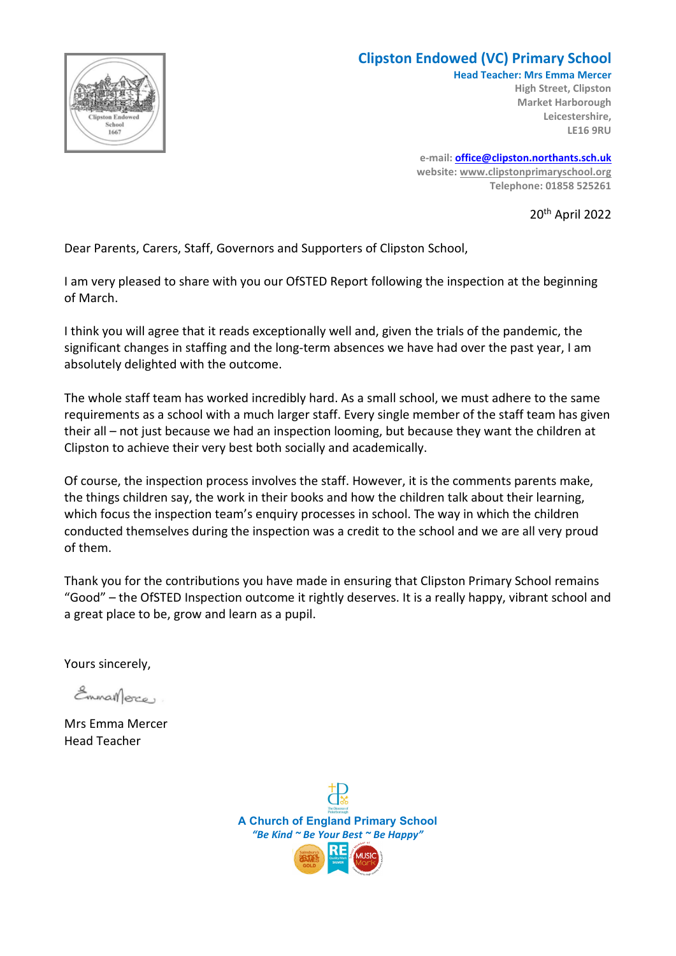

#### **Clipston Endowed (VC) Primary School**

**Head Teacher: Mrs Emma Mercer High Street, Clipston Market Harborough Leicestershire, LE16 9RU**

**e-mail: [office@clipston.northants.sch.uk](mailto:office@clipston.northants.sch.uk) website: [www.clipstonprimaryschool.org](http://www.clipstonprimaryschool.org/) Telephone: 01858 525261**

20th April 2022

Dear Parents, Carers, Staff, Governors and Supporters of Clipston School,

I am very pleased to share with you our OfSTED Report following the inspection at the beginning of March.

I think you will agree that it reads exceptionally well and, given the trials of the pandemic, the significant changes in staffing and the long-term absences we have had over the past year, I am absolutely delighted with the outcome.

The whole staff team has worked incredibly hard. As a small school, we must adhere to the same requirements as a school with a much larger staff. Every single member of the staff team has given their all – not just because we had an inspection looming, but because they want the children at Clipston to achieve their very best both socially and academically.

Of course, the inspection process involves the staff. However, it is the comments parents make, the things children say, the work in their books and how the children talk about their learning, which focus the inspection team's enquiry processes in school. The way in which the children conducted themselves during the inspection was a credit to the school and we are all very proud of them.

Thank you for the contributions you have made in ensuring that Clipston Primary School remains "Good" – the OfSTED Inspection outcome it rightly deserves. It is a really happy, vibrant school and a great place to be, grow and learn as a pupil.

Yours sincerely,

Emman erce

Mrs Emma Mercer Head Teacher

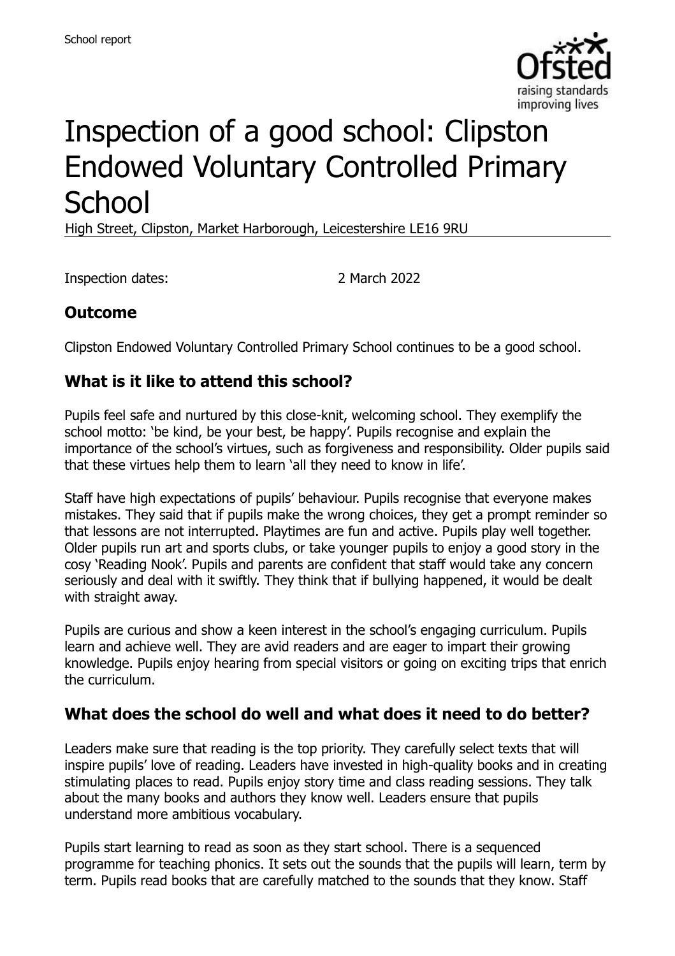

# Inspection of a good school: Clipston Endowed Voluntary Controlled Primary **School**

High Street, Clipston, Market Harborough, Leicestershire LE16 9RU

Inspection dates: 2 March 2022

# **Outcome**

Clipston Endowed Voluntary Controlled Primary School continues to be a good school.

#### **What is it like to attend this school?**

Pupils feel safe and nurtured by this close-knit, welcoming school. They exemplify the school motto: 'be kind, be your best, be happy'. Pupils recognise and explain the importance of the school's virtues, such as forgiveness and responsibility. Older pupils said that these virtues help them to learn 'all they need to know in life'.

Staff have high expectations of pupils' behaviour. Pupils recognise that everyone makes mistakes. They said that if pupils make the wrong choices, they get a prompt reminder so that lessons are not interrupted. Playtimes are fun and active. Pupils play well together. Older pupils run art and sports clubs, or take younger pupils to enjoy a good story in the cosy 'Reading Nook'. Pupils and parents are confident that staff would take any concern seriously and deal with it swiftly. They think that if bullying happened, it would be dealt with straight away.

Pupils are curious and show a keen interest in the school's engaging curriculum. Pupils learn and achieve well. They are avid readers and are eager to impart their growing knowledge. Pupils enjoy hearing from special visitors or going on exciting trips that enrich the curriculum.

#### **What does the school do well and what does it need to do better?**

Leaders make sure that reading is the top priority. They carefully select texts that will inspire pupils' love of reading. Leaders have invested in high-quality books and in creating stimulating places to read. Pupils enjoy story time and class reading sessions. They talk about the many books and authors they know well. Leaders ensure that pupils understand more ambitious vocabulary.

Pupils start learning to read as soon as they start school. There is a sequenced programme for teaching phonics. It sets out the sounds that the pupils will learn, term by term. Pupils read books that are carefully matched to the sounds that they know. Staff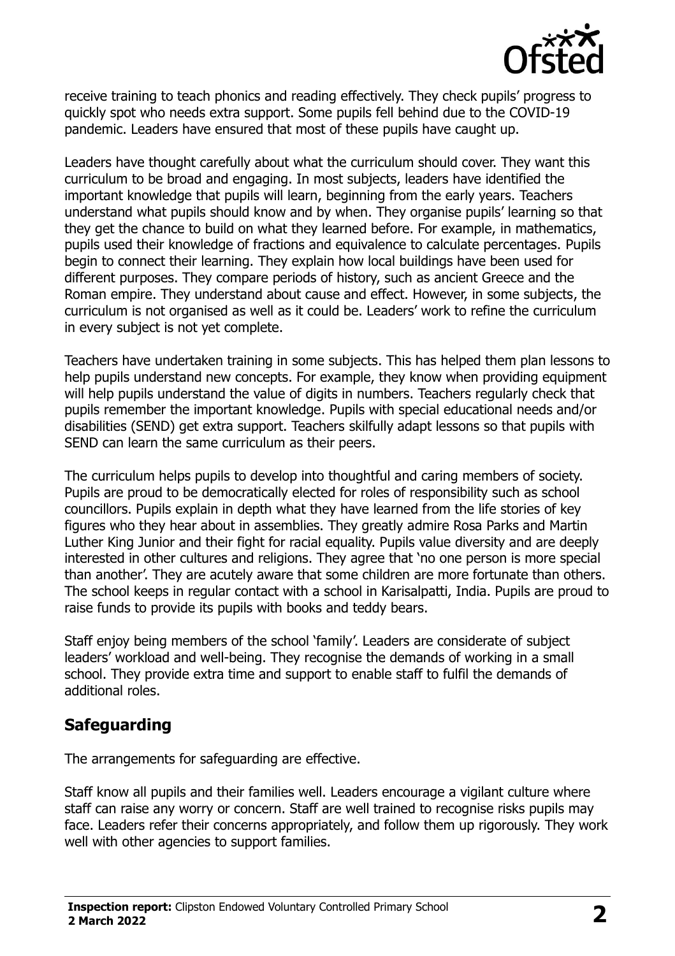

receive training to teach phonics and reading effectively. They check pupils' progress to quickly spot who needs extra support. Some pupils fell behind due to the COVID-19 pandemic. Leaders have ensured that most of these pupils have caught up.

Leaders have thought carefully about what the curriculum should cover. They want this curriculum to be broad and engaging. In most subjects, leaders have identified the important knowledge that pupils will learn, beginning from the early years. Teachers understand what pupils should know and by when. They organise pupils' learning so that they get the chance to build on what they learned before. For example, in mathematics, pupils used their knowledge of fractions and equivalence to calculate percentages. Pupils begin to connect their learning. They explain how local buildings have been used for different purposes. They compare periods of history, such as ancient Greece and the Roman empire. They understand about cause and effect. However, in some subjects, the curriculum is not organised as well as it could be. Leaders' work to refine the curriculum in every subject is not yet complete.

Teachers have undertaken training in some subjects. This has helped them plan lessons to help pupils understand new concepts. For example, they know when providing equipment will help pupils understand the value of digits in numbers. Teachers regularly check that pupils remember the important knowledge. Pupils with special educational needs and/or disabilities (SEND) get extra support. Teachers skilfully adapt lessons so that pupils with SEND can learn the same curriculum as their peers.

The curriculum helps pupils to develop into thoughtful and caring members of society. Pupils are proud to be democratically elected for roles of responsibility such as school councillors. Pupils explain in depth what they have learned from the life stories of key figures who they hear about in assemblies. They greatly admire Rosa Parks and Martin Luther King Junior and their fight for racial equality. Pupils value diversity and are deeply interested in other cultures and religions. They agree that 'no one person is more special than another'. They are acutely aware that some children are more fortunate than others. The school keeps in regular contact with a school in Karisalpatti, India. Pupils are proud to raise funds to provide its pupils with books and teddy bears.

Staff enjoy being members of the school 'family'. Leaders are considerate of subject leaders' workload and well-being. They recognise the demands of working in a small school. They provide extra time and support to enable staff to fulfil the demands of additional roles.

#### **Safeguarding**

The arrangements for safeguarding are effective.

Staff know all pupils and their families well. Leaders encourage a vigilant culture where staff can raise any worry or concern. Staff are well trained to recognise risks pupils may face. Leaders refer their concerns appropriately, and follow them up rigorously. They work well with other agencies to support families.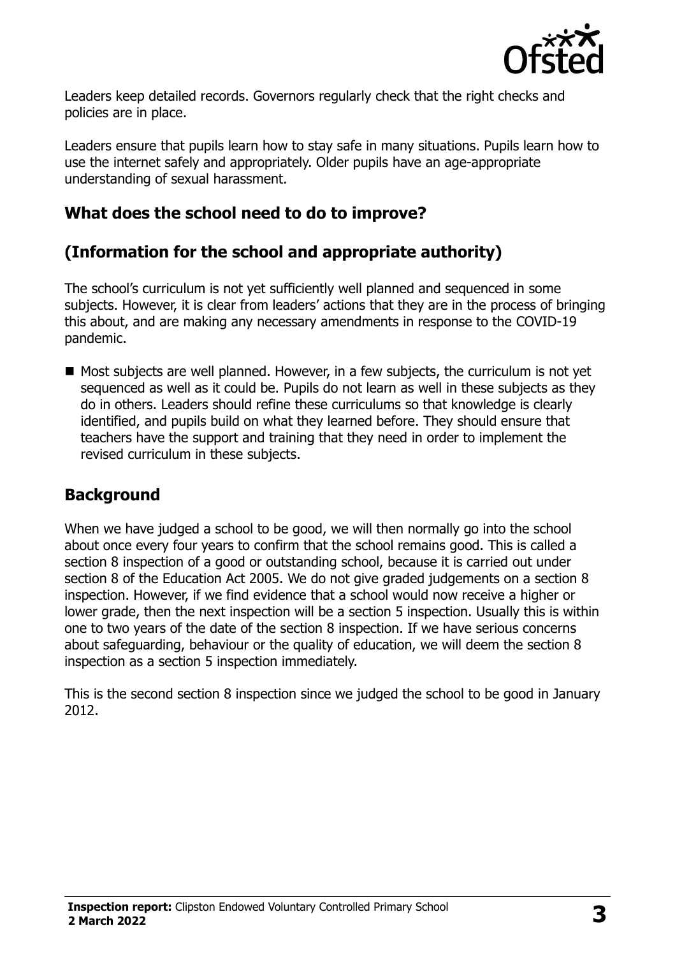

Leaders keep detailed records. Governors regularly check that the right checks and policies are in place.

Leaders ensure that pupils learn how to stay safe in many situations. Pupils learn how to use the internet safely and appropriately. Older pupils have an age-appropriate understanding of sexual harassment.

# **What does the school need to do to improve?**

# **(Information for the school and appropriate authority)**

The school's curriculum is not yet sufficiently well planned and sequenced in some subjects. However, it is clear from leaders' actions that they are in the process of bringing this about, and are making any necessary amendments in response to the COVID-19 pandemic.

■ Most subjects are well planned. However, in a few subjects, the curriculum is not yet sequenced as well as it could be. Pupils do not learn as well in these subjects as they do in others. Leaders should refine these curriculums so that knowledge is clearly identified, and pupils build on what they learned before. They should ensure that teachers have the support and training that they need in order to implement the revised curriculum in these subjects.

# **Background**

When we have judged a school to be good, we will then normally go into the school about once every four years to confirm that the school remains good. This is called a section 8 inspection of a good or outstanding school, because it is carried out under section 8 of the Education Act 2005. We do not give graded judgements on a section 8 inspection. However, if we find evidence that a school would now receive a higher or lower grade, then the next inspection will be a section 5 inspection. Usually this is within one to two years of the date of the section 8 inspection. If we have serious concerns about safeguarding, behaviour or the quality of education, we will deem the section 8 inspection as a section 5 inspection immediately.

This is the second section 8 inspection since we judged the school to be good in January 2012.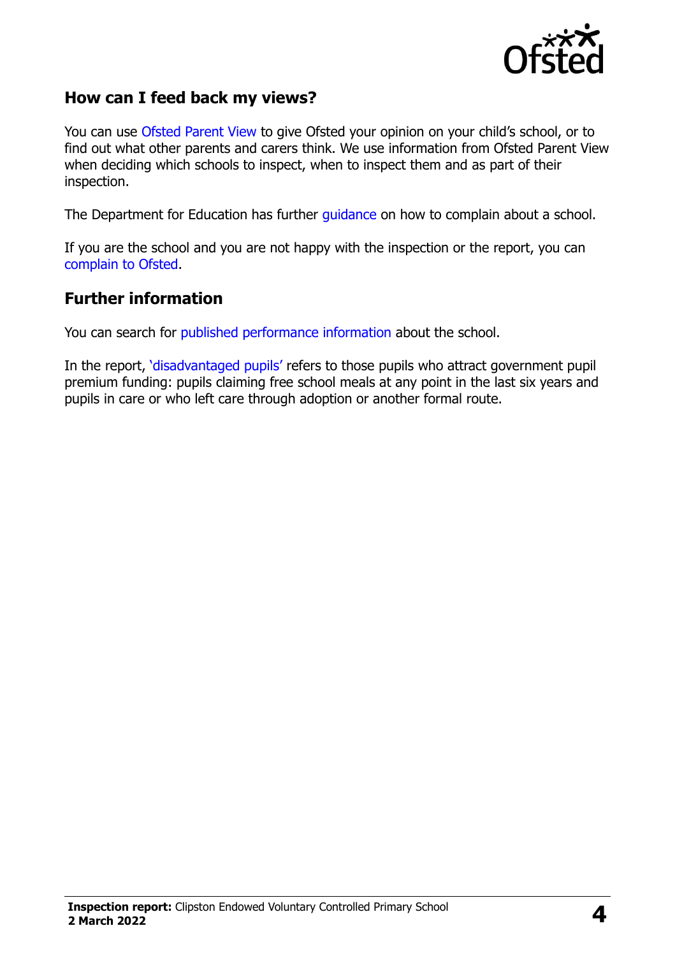

#### **How can I feed back my views?**

You can use [Ofsted Parent View](https://parentview.ofsted.gov.uk/) to give Ofsted your opinion on your child's school, or to find out what other parents and carers think. We use information from Ofsted Parent View when deciding which schools to inspect, when to inspect them and as part of their inspection.

The Department for Education has further [guidance](http://www.gov.uk/complain-about-school) on how to complain about a school.

If you are the school and you are not happy with the inspection or the report, you can [complain to Ofsted.](https://www.gov.uk/complain-ofsted-report)

#### **Further information**

You can search for [published performance information](http://www.compare-school-performance.service.gov.uk/) about the school.

In the report, '[disadvantaged pupils](http://www.gov.uk/guidance/pupil-premium-information-for-schools-and-alternative-provision-settings)' refers to those pupils who attract government pupil premium funding: pupils claiming free school meals at any point in the last six years and pupils in care or who left care through adoption or another formal route.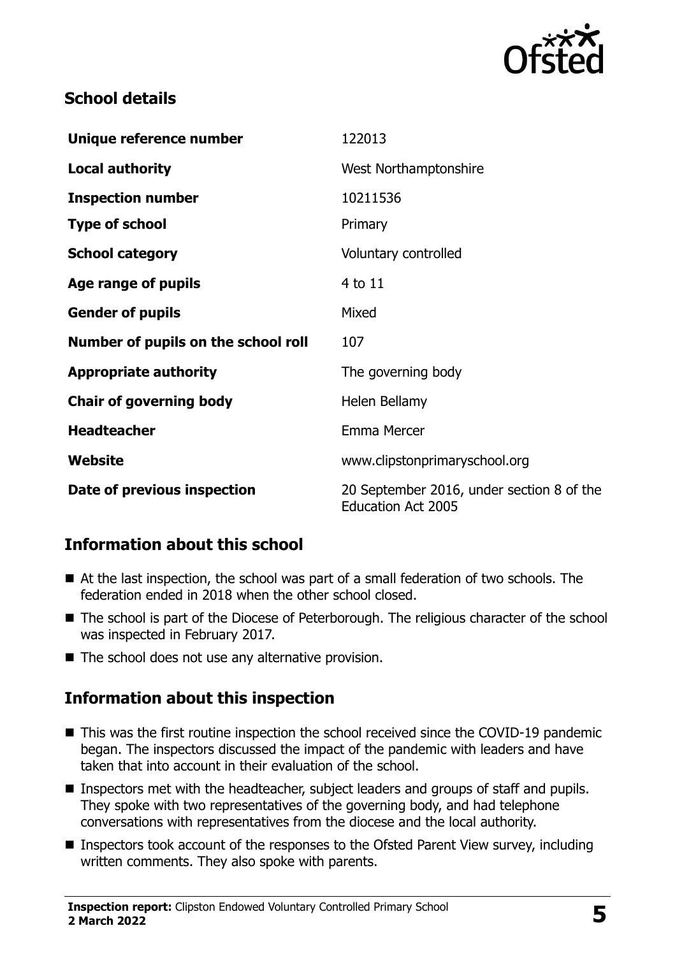

# **School details**

| Unique reference number             | 122013                                                                 |
|-------------------------------------|------------------------------------------------------------------------|
| <b>Local authority</b>              | West Northamptonshire                                                  |
| <b>Inspection number</b>            | 10211536                                                               |
| <b>Type of school</b>               | Primary                                                                |
| <b>School category</b>              | Voluntary controlled                                                   |
| Age range of pupils                 | $4$ to $11$                                                            |
| <b>Gender of pupils</b>             | Mixed                                                                  |
| Number of pupils on the school roll | 107                                                                    |
| <b>Appropriate authority</b>        | The governing body                                                     |
| <b>Chair of governing body</b>      | Helen Bellamy                                                          |
| <b>Headteacher</b>                  | Emma Mercer                                                            |
| Website                             | www.clipstonprimaryschool.org                                          |
| Date of previous inspection         | 20 September 2016, under section 8 of the<br><b>Education Act 2005</b> |

# **Information about this school**

- At the last inspection, the school was part of a small federation of two schools. The federation ended in 2018 when the other school closed.
- The school is part of the Diocese of Peterborough. The religious character of the school was inspected in February 2017.
- The school does not use any alternative provision.

# **Information about this inspection**

- This was the first routine inspection the school received since the COVID-19 pandemic began. The inspectors discussed the impact of the pandemic with leaders and have taken that into account in their evaluation of the school.
- Inspectors met with the headteacher, subject leaders and groups of staff and pupils. They spoke with two representatives of the governing body, and had telephone conversations with representatives from the diocese and the local authority.
- Inspectors took account of the responses to the Ofsted Parent View survey, including written comments. They also spoke with parents.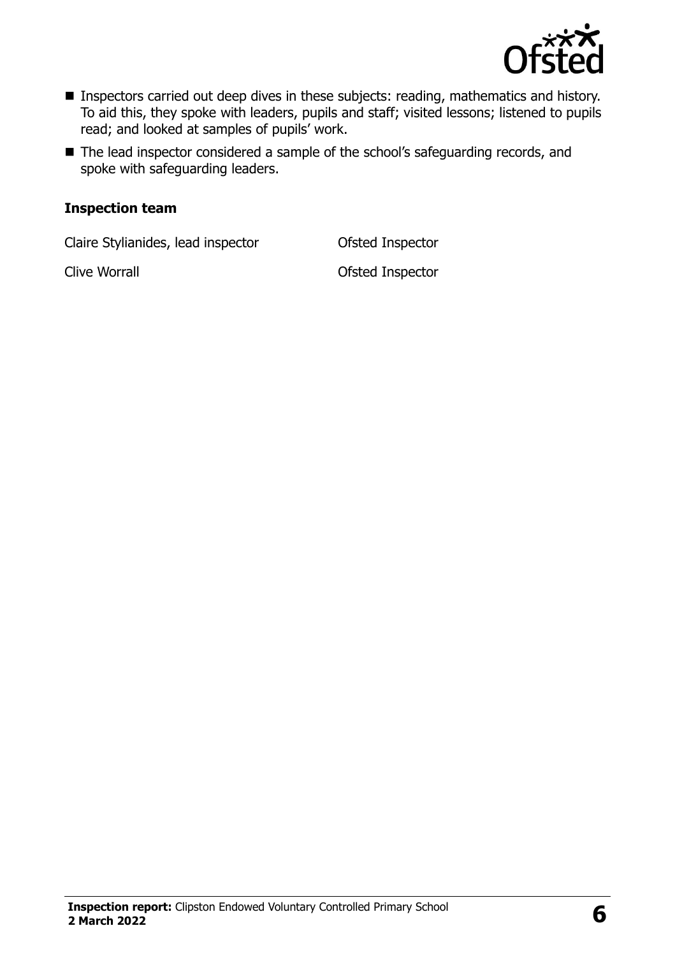

- Inspectors carried out deep dives in these subjects: reading, mathematics and history. To aid this, they spoke with leaders, pupils and staff; visited lessons; listened to pupils read; and looked at samples of pupils' work.
- The lead inspector considered a sample of the school's safeguarding records, and spoke with safeguarding leaders.

#### **Inspection team**

Claire Stylianides, lead inspector Ofsted Inspector

Clive Worrall **Clive Worrall Clive Worrall**